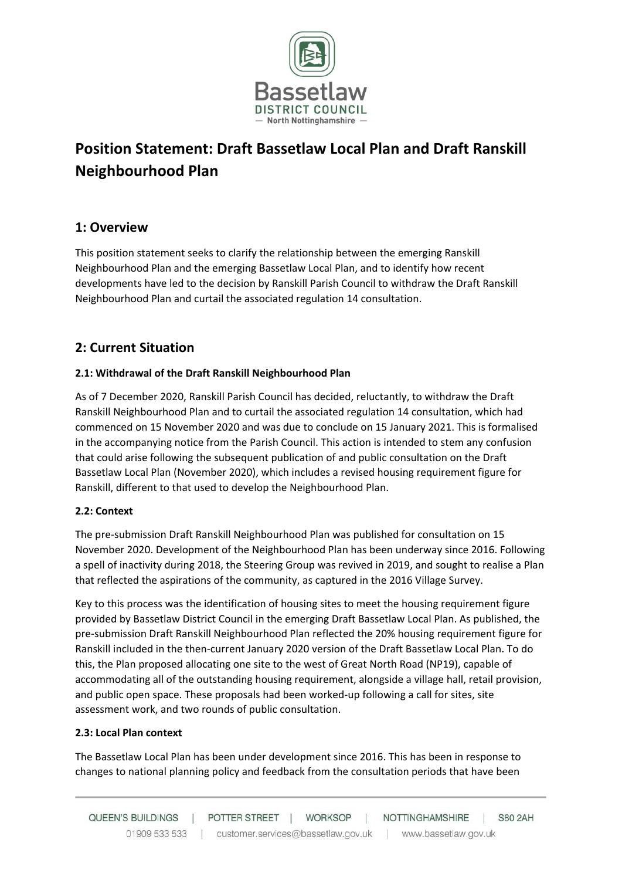

# **Position Statement: Draft Bassetlaw Local Plan and Draft Ranskill Neighbourhood Plan**

## **1: Overview**

This position statement seeks to clarify the relationship between the emerging Ranskill Neighbourhood Plan and the emerging Bassetlaw Local Plan, and to identify how recent developments have led to the decision by Ranskill Parish Council to withdraw the Draft Ranskill Neighbourhood Plan and curtail the associated regulation 14 consultation.

## **2: Current Situation**

### **2.1: Withdrawal of the Draft Ranskill Neighbourhood Plan**

As of 7 December 2020, Ranskill Parish Council has decided, reluctantly, to withdraw the Draft Ranskill Neighbourhood Plan and to curtail the associated regulation 14 consultation, which had commenced on 15 November 2020 and was due to conclude on 15 January 2021. This is formalised in the accompanying notice from the Parish Council. This action is intended to stem any confusion that could arise following the subsequent publication of and public consultation on the Draft Bassetlaw Local Plan (November 2020), which includes a revised housing requirement figure for Ranskill, different to that used to develop the Neighbourhood Plan.

#### **2.2: Context**

The pre-submission Draft Ranskill Neighbourhood Plan was published for consultation on 15 November 2020. Development of the Neighbourhood Plan has been underway since 2016. Following a spell of inactivity during 2018, the Steering Group was revived in 2019, and sought to realise a Plan that reflected the aspirations of the community, as captured in the 2016 Village Survey.

Key to this process was the identification of housing sites to meet the housing requirement figure provided by Bassetlaw District Council in the emerging Draft Bassetlaw Local Plan. As published, the pre-submission Draft Ranskill Neighbourhood Plan reflected the 20% housing requirement figure for Ranskill included in the then-current January 2020 version of the Draft Bassetlaw Local Plan. To do this, the Plan proposed allocating one site to the west of Great North Road (NP19), capable of accommodating all of the outstanding housing requirement, alongside a village hall, retail provision, and public open space. These proposals had been worked-up following a call for sites, site assessment work, and two rounds of public consultation.

#### **2.3: Local Plan context**

The Bassetlaw Local Plan has been under development since 2016. This has been in response to changes to national planning policy and feedback from the consultation periods that have been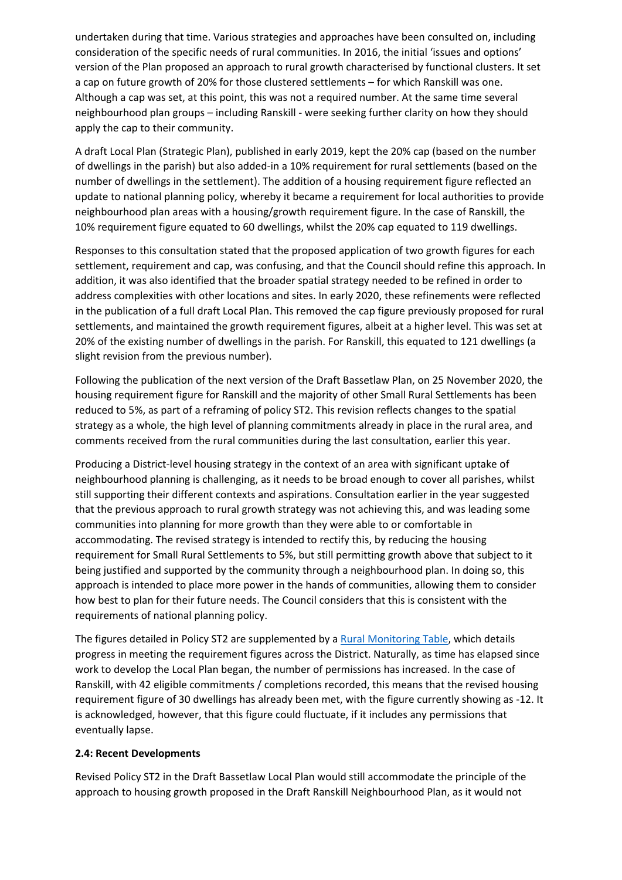undertaken during that time. Various strategies and approaches have been consulted on, including consideration of the specific needs of rural communities. In 2016, the initial 'issues and options' version of the Plan proposed an approach to rural growth characterised by functional clusters. It set a cap on future growth of 20% for those clustered settlements – for which Ranskill was one. Although a cap was set, at this point, this was not a required number. At the same time several neighbourhood plan groups – including Ranskill - were seeking further clarity on how they should apply the cap to their community.

A draft Local Plan (Strategic Plan), published in early 2019, kept the 20% cap (based on the number of dwellings in the parish) but also added-in a 10% requirement for rural settlements (based on the number of dwellings in the settlement). The addition of a housing requirement figure reflected an update to national planning policy, whereby it became a requirement for local authorities to provide neighbourhood plan areas with a housing/growth requirement figure. In the case of Ranskill, the 10% requirement figure equated to 60 dwellings, whilst the 20% cap equated to 119 dwellings.

Responses to this consultation stated that the proposed application of two growth figures for each settlement, requirement and cap, was confusing, and that the Council should refine this approach. In addition, it was also identified that the broader spatial strategy needed to be refined in order to address complexities with other locations and sites. In early 2020, these refinements were reflected in the publication of a full draft Local Plan. This removed the cap figure previously proposed for rural settlements, and maintained the growth requirement figures, albeit at a higher level. This was set at 20% of the existing number of dwellings in the parish. For Ranskill, this equated to 121 dwellings (a slight revision from the previous number).

Following the publication of the next version of the Draft Bassetlaw Plan, on 25 November 2020, the housing requirement figure for Ranskill and the majority of other Small Rural Settlements has been reduced to 5%, as part of a reframing of policy ST2. This revision reflects changes to the spatial strategy as a whole, the high level of planning commitments already in place in the rural area, and comments received from the rural communities during the last consultation, earlier this year.

Producing a District-level housing strategy in the context of an area with significant uptake of neighbourhood planning is challenging, as it needs to be broad enough to cover all parishes, whilst still supporting their different contexts and aspirations. Consultation earlier in the year suggested that the previous approach to rural growth strategy was not achieving this, and was leading some communities into planning for more growth than they were able to or comfortable in accommodating. The revised strategy is intended to rectify this, by reducing the housing requirement for Small Rural Settlements to 5%, but still permitting growth above that subject to it being justified and supported by the community through a neighbourhood plan. In doing so, this approach is intended to place more power in the hands of communities, allowing them to consider how best to plan for their future needs. The Council considers that this is consistent with the requirements of national planning policy.

The figures detailed in Policy ST2 are supplemented by a [Rural Monitoring Table,](https://www.bassetlaw.gov.uk/planning-and-building/the-draft-bassetlaw-local-plan/rural-monitoring-information/) which details progress in meeting the requirement figures across the District. Naturally, as time has elapsed since work to develop the Local Plan began, the number of permissions has increased. In the case of Ranskill, with 42 eligible commitments / completions recorded, this means that the revised housing requirement figure of 30 dwellings has already been met, with the figure currently showing as -12. It is acknowledged, however, that this figure could fluctuate, if it includes any permissions that eventually lapse.

#### **2.4: Recent Developments**

Revised Policy ST2 in the Draft Bassetlaw Local Plan would still accommodate the principle of the approach to housing growth proposed in the Draft Ranskill Neighbourhood Plan, as it would not